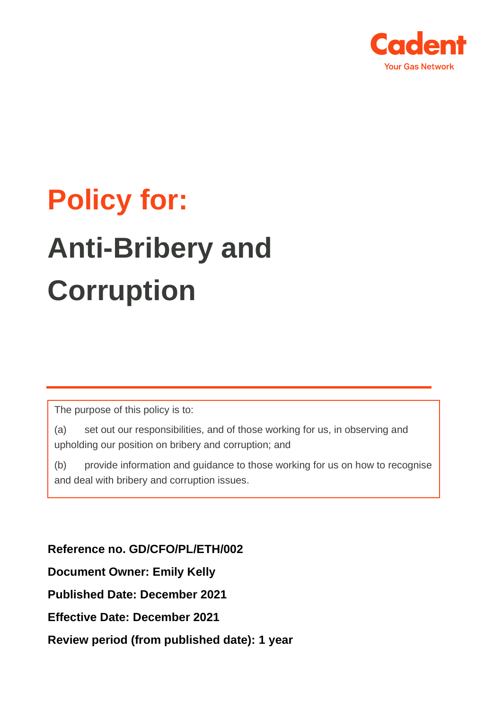

# **Policy for: Anti-Bribery and Corruption**

The purpose of this policy is to:

(a) set out our responsibilities, and of those working for us, in observing and upholding our position on bribery and corruption; and

(b) provide information and guidance to those working for us on how to recognise and deal with bribery and corruption issues.

**Reference no. GD/CFO/PL/ETH/002 Document Owner: Emily Kelly Published Date: December 2021 Effective Date: December 2021 Review period (from published date): 1 year**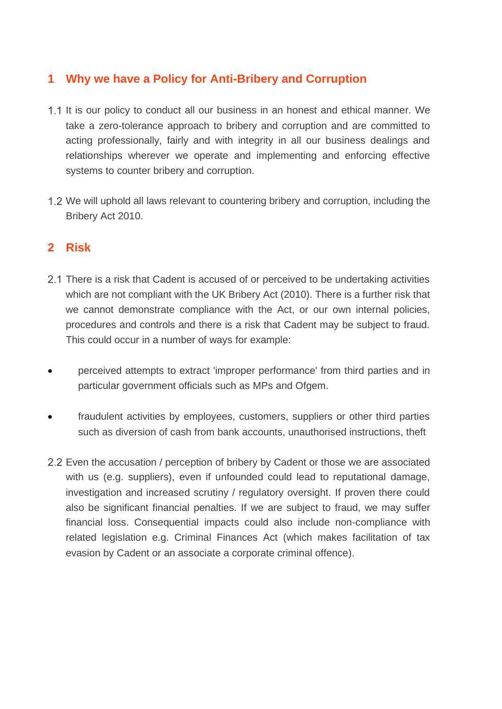# **1 Why we have a Policy for Anti-Bribery and Corruption**

- 1.1 It is our policy to conduct all our business in an honest and ethical manner. We take a zero-tolerance approach to bribery and corruption and are committed to acting professionally, fairly and with integrity in all our business dealings and relationships wherever we operate and implementing and enforcing effective systems to counter bribery and corruption.
- 1.2 We will uphold all laws relevant to countering bribery and corruption, including the Bribery Act 2010.

# **2 Risk**

- 2.1 There is a risk that Cadent is accused of or perceived to be undertaking activities which are not compliant with the UK Bribery Act (2010). There is a further risk that we cannot demonstrate compliance with the Act, or our own internal policies, procedures and controls and there is a risk that Cadent may be subject to fraud. This could occur in a number of ways for example:
- perceived attempts to extract 'improper performance' from third parties and in particular government officials such as MPs and Ofgem.
- fraudulent activities by employees, customers, suppliers or other third parties such as diversion of cash from bank accounts, unauthorised instructions, theft
- Even the accusation / perception of bribery by Cadent or those we are associated with us (e.g. suppliers), even if unfounded could lead to reputational damage, investigation and increased scrutiny / regulatory oversight. If proven there could also be significant financial penalties. If we are subject to fraud, we may suffer financial loss. Consequential impacts could also include non-compliance with related legislation e.g. Criminal Finances Act (which makes facilitation of tax evasion by Cadent or an associate a corporate criminal offence).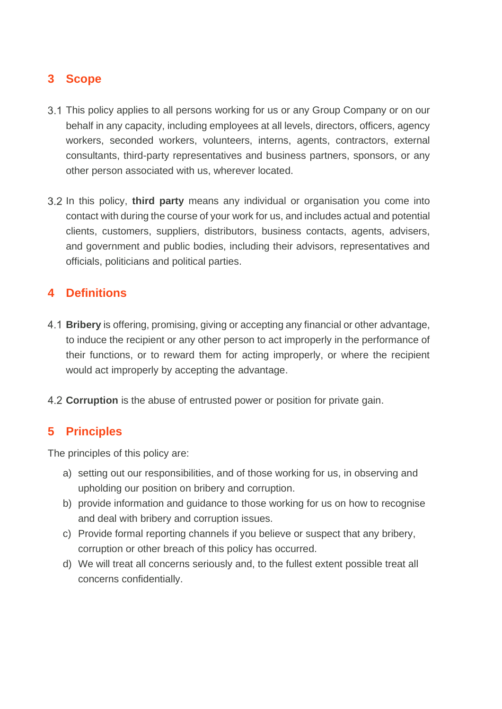# **3 Scope**

- 3.1 This policy applies to all persons working for us or any Group Company or on our behalf in any capacity, including employees at all levels, directors, officers, agency workers, seconded workers, volunteers, interns, agents, contractors, external consultants, third-party representatives and business partners, sponsors, or any other person associated with us, wherever located.
- In this policy, **third party** means any individual or organisation you come into contact with during the course of your work for us, and includes actual and potential clients, customers, suppliers, distributors, business contacts, agents, advisers, and government and public bodies, including their advisors, representatives and officials, politicians and political parties.

# **4 Definitions**

- **Bribery** is offering, promising, giving or accepting any financial or other advantage, to induce the recipient or any other person to act improperly in the performance of their functions, or to reward them for acting improperly, or where the recipient would act improperly by accepting the advantage.
- **Corruption** is the abuse of entrusted power or position for private gain.

# **5 Principles**

The principles of this policy are:

- a) setting out our responsibilities, and of those working for us, in observing and upholding our position on bribery and corruption.
- b) provide information and guidance to those working for us on how to recognise and deal with bribery and corruption issues.
- c) Provide formal reporting channels if you believe or suspect that any bribery, corruption or other breach of this policy has occurred.
- d) We will treat all concerns seriously and, to the fullest extent possible treat all concerns confidentially.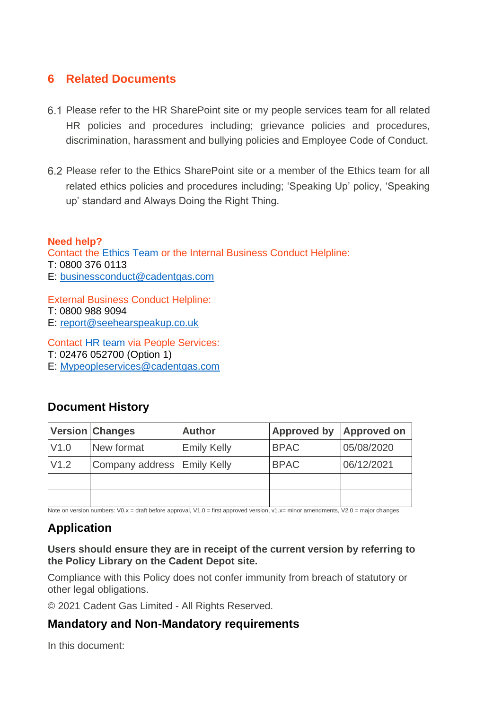#### **6 Related Documents**

- Please refer to the HR SharePoint site or my people services team for all related HR policies and procedures including; grievance policies and procedures, discrimination, harassment and bullying policies and Employee Code of Conduct.
- Please refer to the Ethics SharePoint site or a member of the Ethics team for all related ethics policies and procedures including; 'Speaking Up' policy, 'Speaking up' standard and Always Doing the Right Thing.

#### **Need help?**

Contact the Ethics Team or the Internal Business Conduct Helpline: T: 0800 376 0113 E: [businessconduct@cadentgas.com](mailto:businessconduct@cadentgas.com)

External Business Conduct Helpline: T: 0800 988 9094 E: [report@seehearspeakup.co.uk](mailto:report@seehearspeakup.co.uk)

Contact HR team via People Services: T: 02476 052700 (Option 1)

E: [Mypeopleservices@cadentgas.com](mailto:Mypeopleservices@cadentgas.com)

#### **Document History**

|      | <b>Version Changes</b>      | <b>Author</b>      | Approved by | <b>Approved on</b> |
|------|-----------------------------|--------------------|-------------|--------------------|
| V1.0 | New format                  | <b>Emily Kelly</b> | <b>BPAC</b> | 05/08/2020         |
| V1.2 | Company address Emily Kelly |                    | <b>BPAC</b> | 06/12/2021         |
|      |                             |                    |             |                    |
|      |                             |                    |             |                    |

Note on version numbers: V0.x = draft before approval, V1.0 = first approved version, v1.x= minor amendments, V2.0 = major changes

# **Application**

**Users should ensure they are in receipt of the current version by referring to the Policy Library on the Cadent Depot site.** 

Compliance with this Policy does not confer immunity from breach of statutory or other legal obligations.

© 2021 Cadent Gas Limited - All Rights Reserved.

### **Mandatory and Non-Mandatory requirements**

In this document: